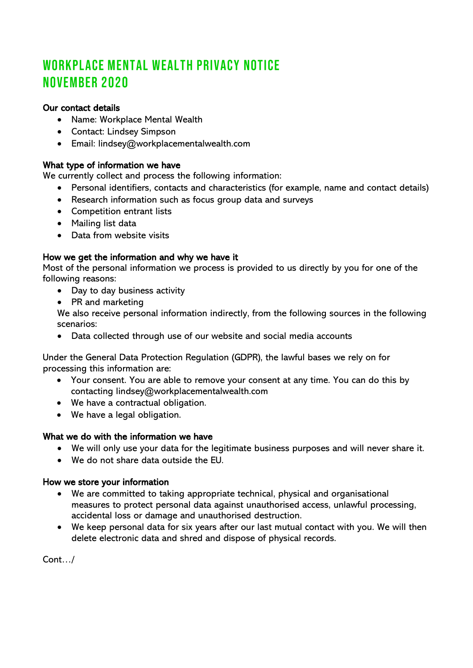# WORKPLACE MENTAL WEALTH PRIVACY NOTICE NOVEMBER 2020

# Our contact details

- Name: Workplace Mental Wealth
- Contact: Lindsey Simpson
- Email: lindsey@workplacementalwealth.com

# What type of information we have

We currently collect and process the following information:

- Personal identifiers, contacts and characteristics (for example, name and contact details)
- Research information such as focus group data and surveys
- Competition entrant lists
- Mailing list data
- Data from website visits

# How we get the information and why we have it

Most of the personal information we process is provided to us directly by you for one of the following reasons:

- Day to day business activity
- PR and marketing

We also receive personal information indirectly, from the following sources in the following scenarios:

• Data collected through use of our website and social media accounts

Under the General Data Protection Regulation (GDPR), the lawful bases we rely on for processing this information are:

- Your consent. You are able to remove your consent at any time. You can do this by contacting lindsey@workplacementalwealth.com
- We have a contractual obligation.
- We have a legal obligation.

# What we do with the information we have

- We will only use your data for the legitimate business purposes and will never share it.
- We do not share data outside the EU.

# How we store your information

- We are committed to taking appropriate technical, physical and organisational measures to protect personal data against unauthorised access, unlawful processing, accidental loss or damage and unauthorised destruction.
- We keep personal data for six years after our last mutual contact with you. We will then delete electronic data and shred and dispose of physical records.

Cont…/